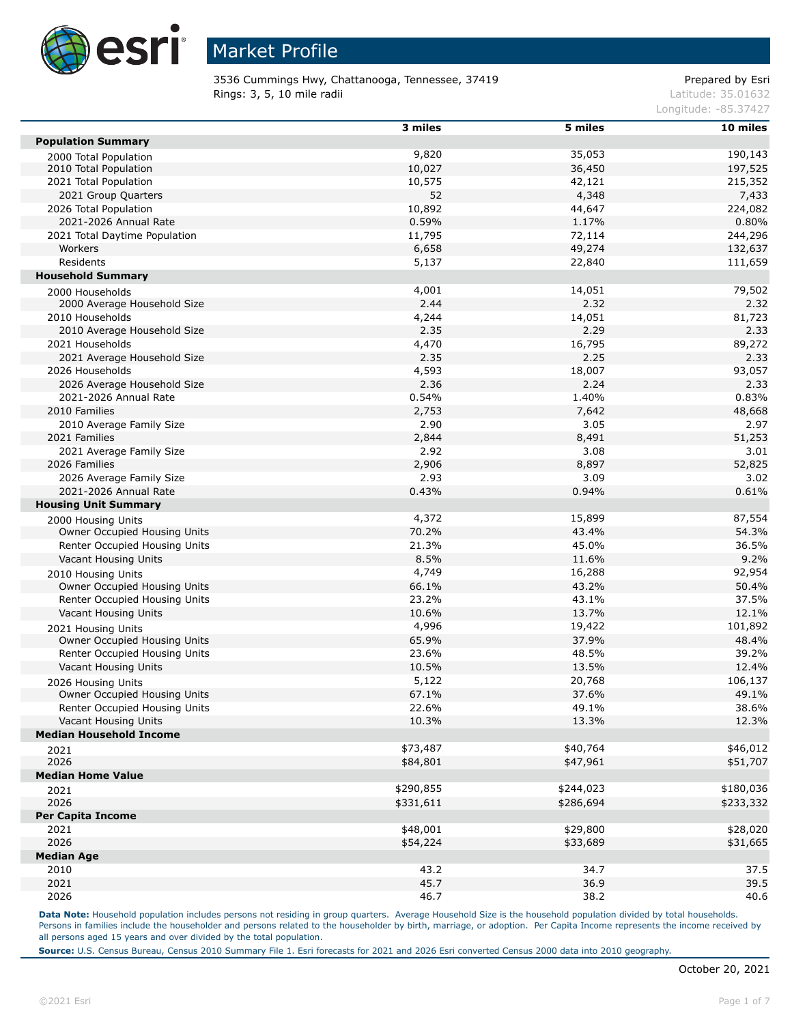

3536 Cummings Hwy, Chattanooga, Tennessee, 37419 Prepared by Esri **Rings: 3, 5, 10 mile radii** Latitude: 35.01632

Longitude: -85.37427

|                                | 3 miles   | 5 miles   | 10 miles  |
|--------------------------------|-----------|-----------|-----------|
| <b>Population Summary</b>      |           |           |           |
| 2000 Total Population          | 9,820     | 35,053    | 190,143   |
| 2010 Total Population          | 10,027    | 36,450    | 197,525   |
| 2021 Total Population          | 10,575    | 42,121    | 215,352   |
| 2021 Group Quarters            | 52        | 4,348     | 7,433     |
| 2026 Total Population          | 10,892    | 44,647    | 224,082   |
| 2021-2026 Annual Rate          | 0.59%     | 1.17%     | 0.80%     |
| 2021 Total Daytime Population  | 11,795    | 72,114    | 244,296   |
| Workers                        | 6,658     | 49,274    | 132,637   |
| Residents                      | 5,137     | 22,840    | 111,659   |
| <b>Household Summary</b>       |           |           |           |
| 2000 Households                | 4,001     | 14,051    | 79,502    |
| 2000 Average Household Size    | 2.44      | 2.32      | 2.32      |
| 2010 Households                | 4,244     | 14,051    | 81,723    |
| 2010 Average Household Size    | 2.35      | 2.29      | 2.33      |
| 2021 Households                | 4,470     | 16,795    | 89,272    |
| 2021 Average Household Size    | 2.35      | 2.25      | 2.33      |
| 2026 Households                | 4,593     | 18,007    | 93,057    |
| 2026 Average Household Size    | 2.36      | 2.24      | 2.33      |
| 2021-2026 Annual Rate          | 0.54%     | 1.40%     | 0.83%     |
| 2010 Families                  | 2,753     | 7,642     | 48,668    |
|                                | 2.90      | 3.05      | 2.97      |
| 2010 Average Family Size       |           |           |           |
| 2021 Families                  | 2,844     | 8,491     | 51,253    |
| 2021 Average Family Size       | 2.92      | 3.08      | 3.01      |
| 2026 Families                  | 2,906     | 8,897     | 52,825    |
| 2026 Average Family Size       | 2.93      | 3.09      | 3.02      |
| 2021-2026 Annual Rate          | 0.43%     | 0.94%     | 0.61%     |
| <b>Housing Unit Summary</b>    |           |           |           |
| 2000 Housing Units             | 4,372     | 15,899    | 87,554    |
| Owner Occupied Housing Units   | 70.2%     | 43.4%     | 54.3%     |
| Renter Occupied Housing Units  | 21.3%     | 45.0%     | 36.5%     |
| Vacant Housing Units           | 8.5%      | 11.6%     | 9.2%      |
| 2010 Housing Units             | 4,749     | 16,288    | 92,954    |
| Owner Occupied Housing Units   | 66.1%     | 43.2%     | 50.4%     |
| Renter Occupied Housing Units  | 23.2%     | 43.1%     | 37.5%     |
| Vacant Housing Units           | 10.6%     | 13.7%     | 12.1%     |
| 2021 Housing Units             | 4,996     | 19,422    | 101,892   |
| Owner Occupied Housing Units   | 65.9%     | 37.9%     | 48.4%     |
| Renter Occupied Housing Units  | 23.6%     | 48.5%     | 39.2%     |
| Vacant Housing Units           | 10.5%     | 13.5%     | 12.4%     |
| 2026 Housing Units             | 5,122     | 20,768    | 106,137   |
| Owner Occupied Housing Units   | 67.1%     | 37.6%     | 49.1%     |
| Renter Occupied Housing Units  | 22.6%     | 49.1%     | 38.6%     |
| Vacant Housing Units           | 10.3%     | 13.3%     | 12.3%     |
| <b>Median Household Income</b> |           |           |           |
| 2021                           | \$73,487  | \$40,764  | \$46,012  |
| 2026                           | \$84,801  | \$47,961  | \$51,707  |
| <b>Median Home Value</b>       |           |           |           |
| 2021                           | \$290,855 | \$244,023 | \$180,036 |
| 2026                           | \$331,611 | \$286,694 | \$233,332 |
| <b>Per Capita Income</b>       |           |           |           |
| 2021                           | \$48,001  | \$29,800  | \$28,020  |
| 2026                           | \$54,224  | \$33,689  | \$31,665  |
| <b>Median Age</b>              |           |           |           |
| 2010                           | 43.2      | 34.7      | 37.5      |
| 2021                           | 45.7      | 36.9      | 39.5      |
| 2026                           | 46.7      | 38.2      | 40.6      |
|                                |           |           |           |

Data Note: Household population includes persons not residing in group quarters. Average Household Size is the household population divided by total households. Persons in families include the householder and persons related to the householder by birth, marriage, or adoption. Per Capita Income represents the income received by all persons aged 15 years and over divided by the total population.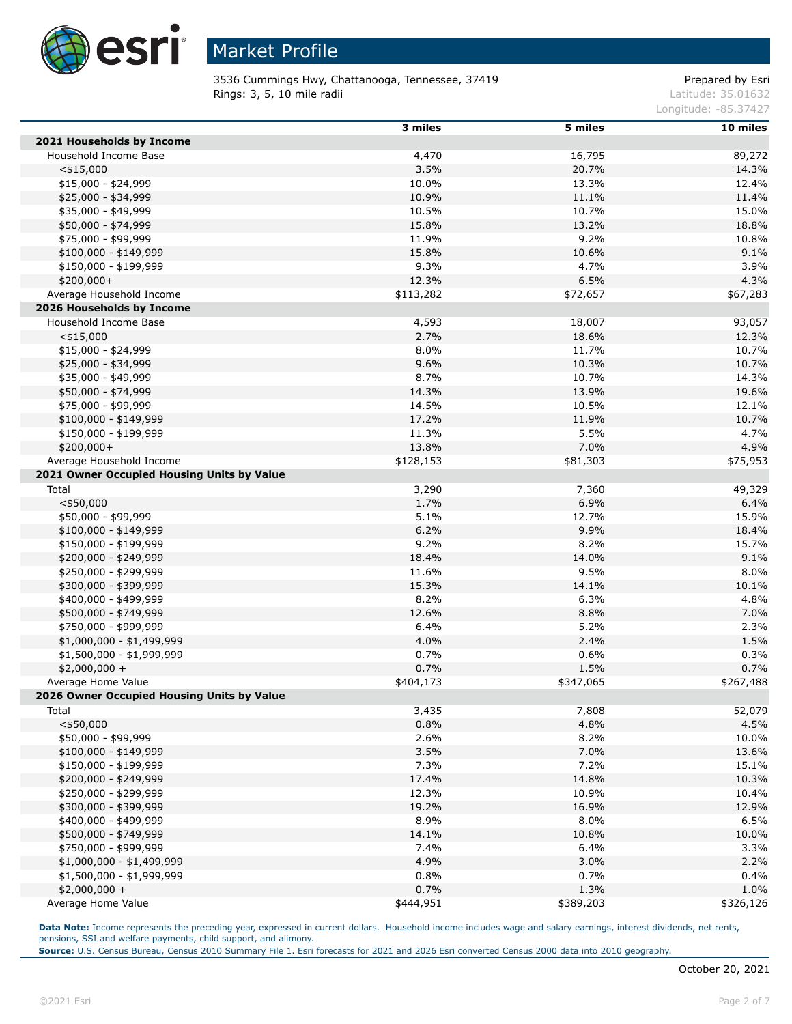

3536 Cummings Hwy, Chattanooga, Tennessee, 37419 Prepared by Esri **Rings: 3, 5, 10 mile radii** Latitude: 35.01632

Longitude: -85.37427

|                                            | 3 miles   | 5 miles   | 10 miles  |
|--------------------------------------------|-----------|-----------|-----------|
| 2021 Households by Income                  |           |           |           |
| Household Income Base                      | 4,470     | 16,795    | 89,272    |
| $<$ \$15,000                               | 3.5%      | 20.7%     | 14.3%     |
| \$15,000 - \$24,999                        | 10.0%     | 13.3%     | 12.4%     |
| \$25,000 - \$34,999                        | 10.9%     | 11.1%     | 11.4%     |
| \$35,000 - \$49,999                        | 10.5%     | 10.7%     | 15.0%     |
| \$50,000 - \$74,999                        | 15.8%     | 13.2%     | 18.8%     |
| \$75,000 - \$99,999                        | 11.9%     | 9.2%      | 10.8%     |
| $$100,000 - $149,999$                      | 15.8%     | 10.6%     | 9.1%      |
| \$150,000 - \$199,999                      | 9.3%      | 4.7%      | 3.9%      |
| $$200,000+$                                | 12.3%     | 6.5%      | 4.3%      |
| Average Household Income                   | \$113,282 | \$72,657  | \$67,283  |
| 2026 Households by Income                  |           |           |           |
| Household Income Base                      | 4,593     | 18,007    | 93,057    |
| $<$ \$15,000                               | 2.7%      | 18.6%     | 12.3%     |
| $$15,000 - $24,999$                        | 8.0%      | 11.7%     | 10.7%     |
| \$25,000 - \$34,999                        | 9.6%      | 10.3%     | 10.7%     |
| \$35,000 - \$49,999                        | 8.7%      | 10.7%     | 14.3%     |
| \$50,000 - \$74,999                        | 14.3%     | 13.9%     | 19.6%     |
| \$75,000 - \$99,999                        | 14.5%     | 10.5%     | 12.1%     |
| $$100,000 - $149,999$                      | 17.2%     | 11.9%     | 10.7%     |
| \$150,000 - \$199,999                      | 11.3%     | 5.5%      | 4.7%      |
| \$200,000+                                 | 13.8%     | 7.0%      | 4.9%      |
| Average Household Income                   | \$128,153 | \$81,303  | \$75,953  |
| 2021 Owner Occupied Housing Units by Value |           |           |           |
| Total                                      | 3,290     | 7,360     | 49,329    |
| $<$ \$50,000                               | 1.7%      | 6.9%      | 6.4%      |
| \$50,000 - \$99,999                        | 5.1%      | 12.7%     | 15.9%     |
| $$100,000 - $149,999$                      | 6.2%      | 9.9%      | 18.4%     |
| \$150,000 - \$199,999                      | 9.2%      | 8.2%      | 15.7%     |
| \$200,000 - \$249,999                      | 18.4%     | 14.0%     | 9.1%      |
| \$250,000 - \$299,999                      | 11.6%     | 9.5%      | 8.0%      |
| \$300,000 - \$399,999                      | 15.3%     | 14.1%     | 10.1%     |
| \$400,000 - \$499,999                      | 8.2%      | 6.3%      | 4.8%      |
| \$500,000 - \$749,999                      | 12.6%     | 8.8%      | 7.0%      |
| \$750,000 - \$999,999                      | 6.4%      | 5.2%      | 2.3%      |
| \$1,000,000 - \$1,499,999                  | 4.0%      | 2.4%      | 1.5%      |
| \$1,500,000 - \$1,999,999                  | 0.7%      | 0.6%      | 0.3%      |
| $$2,000,000 +$                             | 0.7%      | 1.5%      | 0.7%      |
| Average Home Value                         | \$404,173 | \$347,065 | \$267,488 |
| 2026 Owner Occupied Housing Units by Value |           |           |           |
| Total                                      | 3,435     | 7,808     | 52,079    |
| $<$ \$50,000                               | 0.8%      | 4.8%      | 4.5%      |
| \$50,000 - \$99,999                        | 2.6%      | 8.2%      | 10.0%     |
| $$100,000 - $149,999$                      | 3.5%      | 7.0%      | 13.6%     |
| \$150,000 - \$199,999                      | 7.3%      | 7.2%      | 15.1%     |
| \$200,000 - \$249,999                      | 17.4%     | 14.8%     | 10.3%     |
| \$250,000 - \$299,999                      | 12.3%     | 10.9%     | 10.4%     |
| \$300,000 - \$399,999                      | 19.2%     | 16.9%     | 12.9%     |
| \$400,000 - \$499,999                      | 8.9%      | 8.0%      | 6.5%      |
| \$500,000 - \$749,999                      | 14.1%     | 10.8%     | 10.0%     |
| \$750,000 - \$999,999                      | 7.4%      | 6.4%      | 3.3%      |
| \$1,000,000 - \$1,499,999                  | 4.9%      | 3.0%      | 2.2%      |
| \$1,500,000 - \$1,999,999                  | 0.8%      | 0.7%      | 0.4%      |
| $$2,000,000 +$                             | 0.7%      | 1.3%      | 1.0%      |
| Average Home Value                         | \$444,951 | \$389,203 | \$326,126 |

**Data Note:** Income represents the preceding year, expressed in current dollars. Household income includes wage and salary earnings, interest dividends, net rents, pensions, SSI and welfare payments, child support, and alimony.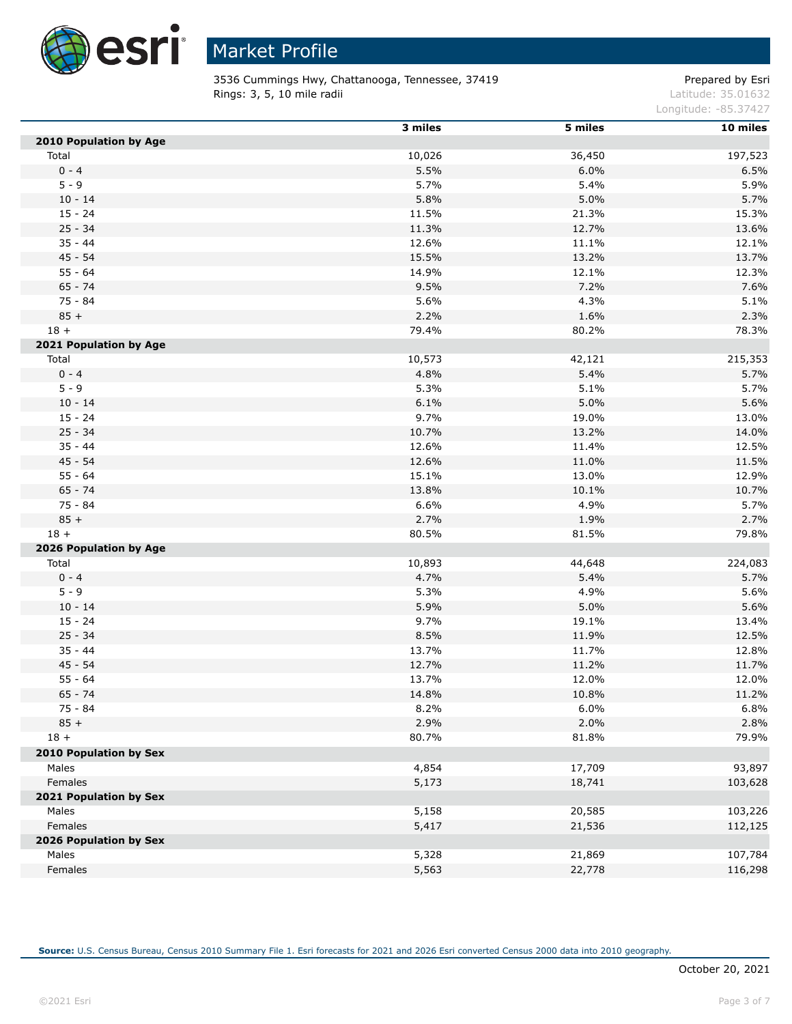

3536 Cummings Hwy, Chattanooga, Tennessee, 37419 Prepared by Esri **Rings: 3, 5, 10 mile radii** Latitude: 35.01632

Longitude: -85.37427

|                               | 3 miles | 5 miles | 10 miles |
|-------------------------------|---------|---------|----------|
| <b>2010 Population by Age</b> |         |         |          |
| Total                         | 10,026  | 36,450  | 197,523  |
| $0 - 4$                       | 5.5%    | 6.0%    | 6.5%     |
| $5 - 9$                       | 5.7%    | 5.4%    | 5.9%     |
| $10 - 14$                     | 5.8%    | 5.0%    | 5.7%     |
| $15 - 24$                     | 11.5%   | 21.3%   | 15.3%    |
| $25 - 34$                     | 11.3%   | 12.7%   | 13.6%    |
| $35 - 44$                     | 12.6%   | 11.1%   | 12.1%    |
| $45 - 54$                     | 15.5%   | 13.2%   | 13.7%    |
| $55 - 64$                     | 14.9%   | 12.1%   | 12.3%    |
| $65 - 74$                     | 9.5%    | 7.2%    | 7.6%     |
| 75 - 84                       | 5.6%    | 4.3%    | 5.1%     |
| $85 +$                        | 2.2%    | 1.6%    | 2.3%     |
| $18 +$                        | 79.4%   | 80.2%   | 78.3%    |
| 2021 Population by Age        |         |         |          |
| Total                         | 10,573  | 42,121  | 215,353  |
| $0 - 4$                       | 4.8%    | 5.4%    | 5.7%     |
| $5 - 9$                       | 5.3%    | 5.1%    | 5.7%     |
| $10 - 14$                     | 6.1%    | 5.0%    | 5.6%     |
| $15 - 24$                     | 9.7%    | 19.0%   | 13.0%    |
| $25 - 34$                     | 10.7%   | 13.2%   | 14.0%    |
| $35 - 44$                     | 12.6%   | 11.4%   | 12.5%    |
| $45 - 54$                     | 12.6%   | 11.0%   | 11.5%    |
| $55 - 64$                     | 15.1%   | 13.0%   | 12.9%    |
| $65 - 74$                     | 13.8%   | 10.1%   | 10.7%    |
| 75 - 84                       | 6.6%    | 4.9%    | 5.7%     |
| $85 +$                        | 2.7%    | 1.9%    | 2.7%     |
| $18 +$                        | 80.5%   | 81.5%   | 79.8%    |
| 2026 Population by Age        |         |         |          |
| Total                         | 10,893  | 44,648  | 224,083  |
| $0 - 4$                       | 4.7%    | 5.4%    | 5.7%     |
| $5 - 9$                       | 5.3%    | 4.9%    | 5.6%     |
| $10 - 14$                     | 5.9%    | 5.0%    | 5.6%     |
| $15 - 24$                     | 9.7%    | 19.1%   | 13.4%    |
| $25 - 34$                     | 8.5%    | 11.9%   | 12.5%    |
| $35 - 44$                     | 13.7%   | 11.7%   | 12.8%    |
| $45 - 54$                     | 12.7%   | 11.2%   | 11.7%    |
| $55 - 64$                     | 13.7%   | 12.0%   | 12.0%    |
| $65 - 74$                     | 14.8%   | 10.8%   | 11.2%    |
| $75 - 84$                     | 8.2%    | 6.0%    | 6.8%     |
| $85 +$                        | 2.9%    | 2.0%    | 2.8%     |
| $18 +$                        | 80.7%   | 81.8%   | 79.9%    |
|                               |         |         |          |
| 2010 Population by Sex        |         |         |          |
| Males                         | 4,854   | 17,709  | 93,897   |
| Females                       | 5,173   | 18,741  | 103,628  |
| 2021 Population by Sex        |         |         |          |
| Males                         | 5,158   | 20,585  | 103,226  |
| Females                       | 5,417   | 21,536  | 112,125  |
| 2026 Population by Sex        |         |         |          |
| Males                         | 5,328   | 21,869  | 107,784  |
| Females                       | 5,563   | 22,778  | 116,298  |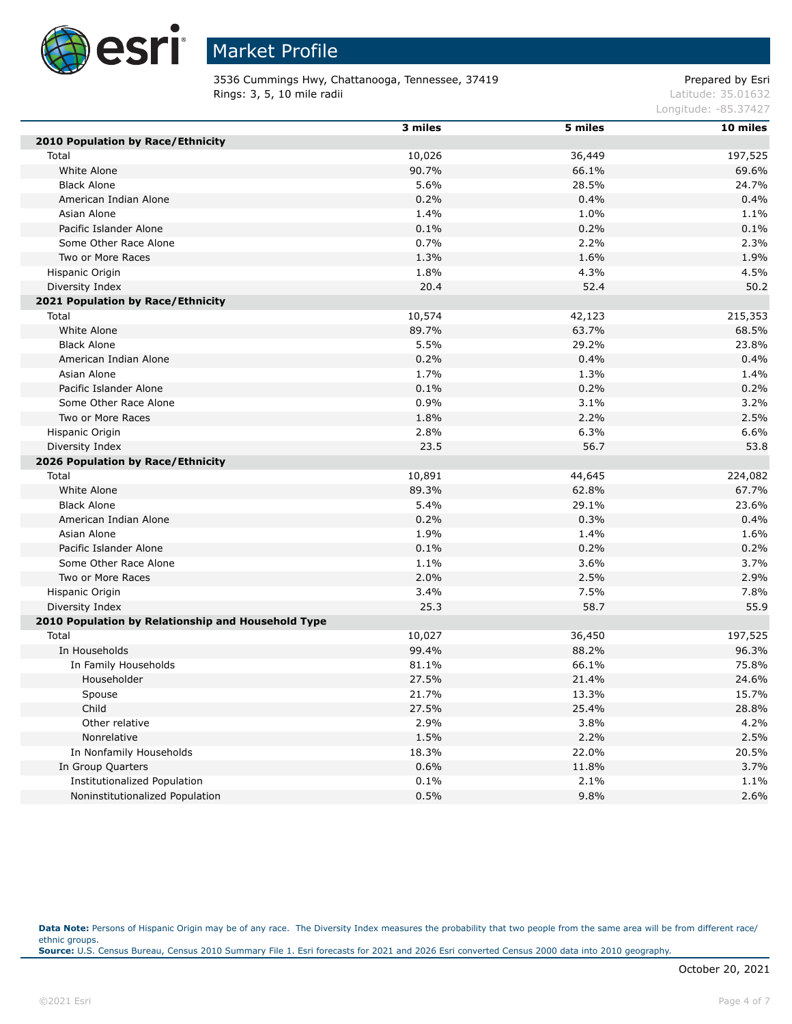

3536 Cummings Hwy, Chattanooga, Tennessee, 37419 Prepared by Esri **Rings: 3, 5, 10 mile radii** Latitude: 35.01632

Longitude: -85.37427

|                                                    | 3 miles | 5 miles | 10 miles |
|----------------------------------------------------|---------|---------|----------|
| 2010 Population by Race/Ethnicity                  |         |         |          |
| Total                                              | 10,026  | 36,449  | 197,525  |
| White Alone                                        | 90.7%   | 66.1%   | 69.6%    |
| <b>Black Alone</b>                                 | 5.6%    | 28.5%   | 24.7%    |
| American Indian Alone                              | 0.2%    | 0.4%    | 0.4%     |
| Asian Alone                                        | 1.4%    | 1.0%    | 1.1%     |
| Pacific Islander Alone                             | 0.1%    | 0.2%    | 0.1%     |
| Some Other Race Alone                              | 0.7%    | 2.2%    | 2.3%     |
| Two or More Races                                  | 1.3%    | 1.6%    | 1.9%     |
| Hispanic Origin                                    | 1.8%    | 4.3%    | 4.5%     |
| Diversity Index                                    | 20.4    | 52.4    | 50.2     |
| 2021 Population by Race/Ethnicity                  |         |         |          |
| Total                                              | 10,574  | 42,123  | 215,353  |
| White Alone                                        | 89.7%   | 63.7%   | 68.5%    |
| <b>Black Alone</b>                                 | 5.5%    | 29.2%   | 23.8%    |
| American Indian Alone                              | 0.2%    | 0.4%    | 0.4%     |
| Asian Alone                                        | 1.7%    | 1.3%    | 1.4%     |
| Pacific Islander Alone                             | 0.1%    | 0.2%    | 0.2%     |
| Some Other Race Alone                              | 0.9%    | 3.1%    | 3.2%     |
| Two or More Races                                  | 1.8%    | 2.2%    | 2.5%     |
| Hispanic Origin                                    | 2.8%    | 6.3%    | 6.6%     |
| Diversity Index                                    | 23.5    | 56.7    | 53.8     |
| 2026 Population by Race/Ethnicity                  |         |         |          |
| Total                                              | 10,891  | 44,645  | 224,082  |
| White Alone                                        | 89.3%   | 62.8%   | 67.7%    |
| <b>Black Alone</b>                                 | 5.4%    | 29.1%   | 23.6%    |
| American Indian Alone                              | 0.2%    | 0.3%    | 0.4%     |
| Asian Alone                                        | 1.9%    | 1.4%    | 1.6%     |
| Pacific Islander Alone                             | 0.1%    | 0.2%    | 0.2%     |
| Some Other Race Alone                              | 1.1%    | 3.6%    | 3.7%     |
| Two or More Races                                  | 2.0%    | 2.5%    | 2.9%     |
| Hispanic Origin                                    | 3.4%    | 7.5%    | 7.8%     |
| Diversity Index                                    | 25.3    | 58.7    | 55.9     |
| 2010 Population by Relationship and Household Type |         |         |          |
| Total                                              | 10,027  | 36,450  | 197,525  |
| In Households                                      | 99.4%   | 88.2%   | 96.3%    |
| In Family Households                               | 81.1%   | 66.1%   | 75.8%    |
| Householder                                        | 27.5%   | 21.4%   | 24.6%    |
| Spouse                                             | 21.7%   | 13.3%   | 15.7%    |
| Child                                              | 27.5%   | 25.4%   | 28.8%    |
| Other relative                                     | 2.9%    | 3.8%    | 4.2%     |
| Nonrelative                                        | 1.5%    | 2.2%    | 2.5%     |
| In Nonfamily Households                            | 18.3%   | 22.0%   | 20.5%    |
| In Group Quarters                                  | 0.6%    | 11.8%   | 3.7%     |
| <b>Institutionalized Population</b>                | 0.1%    | 2.1%    | 1.1%     |
| Noninstitutionalized Population                    | 0.5%    | 9.8%    | 2.6%     |

Data Note: Persons of Hispanic Origin may be of any race. The Diversity Index measures the probability that two people from the same area will be from different race/ ethnic groups. **Source:** U.S. Census Bureau, Census 2010 Summary File 1. Esri forecasts for 2021 and 2026 Esri converted Census 2000 data into 2010 geography.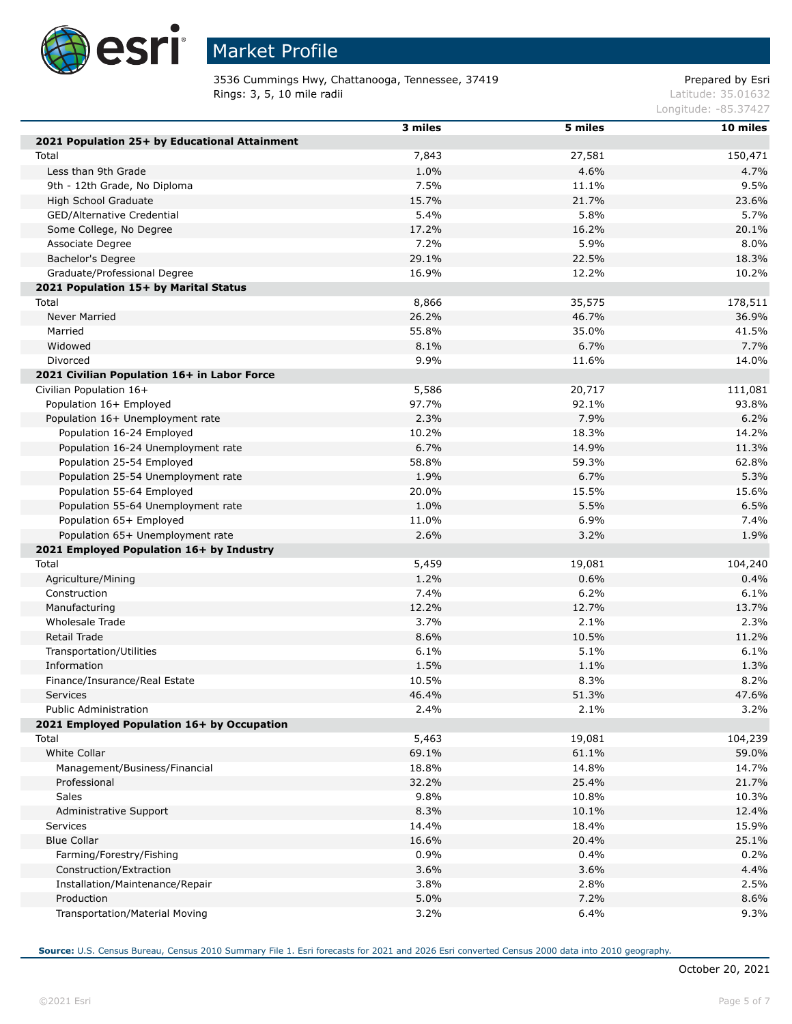

# Market Profile

3536 Cummings Hwy, Chattanooga, Tennessee, 37419 Prepared by Esri **Rings: 3, 5, 10 mile radii** Latitude: 35.01632

Longitude: -85.37427

|                                               | 3 miles | 5 miles | 10 miles |
|-----------------------------------------------|---------|---------|----------|
| 2021 Population 25+ by Educational Attainment |         |         |          |
| Total                                         | 7,843   | 27,581  | 150,471  |
| Less than 9th Grade                           | 1.0%    | 4.6%    | 4.7%     |
| 9th - 12th Grade, No Diploma                  | 7.5%    | 11.1%   | 9.5%     |
| High School Graduate                          | 15.7%   | 21.7%   | 23.6%    |
| GED/Alternative Credential                    | 5.4%    | 5.8%    | 5.7%     |
| Some College, No Degree                       | 17.2%   | 16.2%   | 20.1%    |
| Associate Degree                              | 7.2%    | 5.9%    | 8.0%     |
| Bachelor's Degree                             | 29.1%   | 22.5%   | 18.3%    |
| Graduate/Professional Degree                  | 16.9%   | 12.2%   | 10.2%    |
| 2021 Population 15+ by Marital Status         |         |         |          |
| Total                                         | 8,866   | 35,575  | 178,511  |
| <b>Never Married</b>                          | 26.2%   | 46.7%   | 36.9%    |
| Married                                       | 55.8%   | 35.0%   | 41.5%    |
| Widowed                                       | 8.1%    | 6.7%    | 7.7%     |
| Divorced                                      | 9.9%    | 11.6%   | 14.0%    |
| 2021 Civilian Population 16+ in Labor Force   |         |         |          |
| Civilian Population 16+                       | 5,586   | 20,717  | 111,081  |
| Population 16+ Employed                       | 97.7%   | 92.1%   | 93.8%    |
| Population 16+ Unemployment rate              | 2.3%    | 7.9%    | 6.2%     |
| Population 16-24 Employed                     | 10.2%   | 18.3%   | 14.2%    |
| Population 16-24 Unemployment rate            | 6.7%    | 14.9%   | 11.3%    |
| Population 25-54 Employed                     | 58.8%   | 59.3%   | 62.8%    |
| Population 25-54 Unemployment rate            | 1.9%    | 6.7%    | 5.3%     |
| Population 55-64 Employed                     | 20.0%   | 15.5%   | 15.6%    |
| Population 55-64 Unemployment rate            | 1.0%    | 5.5%    | 6.5%     |
| Population 65+ Employed                       | 11.0%   | 6.9%    | 7.4%     |
| Population 65+ Unemployment rate              | 2.6%    | 3.2%    | 1.9%     |
| 2021 Employed Population 16+ by Industry      |         |         |          |
| Total                                         | 5,459   | 19,081  | 104,240  |
| Agriculture/Mining                            | 1.2%    | 0.6%    | 0.4%     |
| Construction                                  | 7.4%    | 6.2%    | 6.1%     |
| Manufacturing                                 | 12.2%   | 12.7%   | 13.7%    |
| Wholesale Trade                               | 3.7%    | 2.1%    | 2.3%     |
| Retail Trade                                  | 8.6%    | 10.5%   | 11.2%    |
| Transportation/Utilities                      | 6.1%    | 5.1%    | 6.1%     |
| Information                                   | 1.5%    | 1.1%    | 1.3%     |
| Finance/Insurance/Real Estate                 | 10.5%   | 8.3%    | 8.2%     |
| <b>Services</b>                               | 46.4%   | 51.3%   | 47.6%    |
| Public Administration                         | 2.4%    | 2.1%    | 3.2%     |
| 2021 Employed Population 16+ by Occupation    |         |         |          |
| Total                                         | 5,463   | 19,081  | 104,239  |
| White Collar                                  | 69.1%   | 61.1%   | 59.0%    |
| Management/Business/Financial                 | 18.8%   | 14.8%   | 14.7%    |
| Professional                                  | 32.2%   | 25.4%   | 21.7%    |
| Sales                                         | 9.8%    | 10.8%   | 10.3%    |
| Administrative Support                        | 8.3%    | 10.1%   | 12.4%    |
| Services                                      | 14.4%   | 18.4%   | 15.9%    |
| <b>Blue Collar</b>                            | 16.6%   | 20.4%   | 25.1%    |
| Farming/Forestry/Fishing                      | 0.9%    | 0.4%    | 0.2%     |
| Construction/Extraction                       | 3.6%    | 3.6%    | 4.4%     |
| Installation/Maintenance/Repair               | 3.8%    | 2.8%    | 2.5%     |
| Production                                    | 5.0%    | 7.2%    | 8.6%     |
| Transportation/Material Moving                | 3.2%    | 6.4%    | 9.3%     |
|                                               |         |         |          |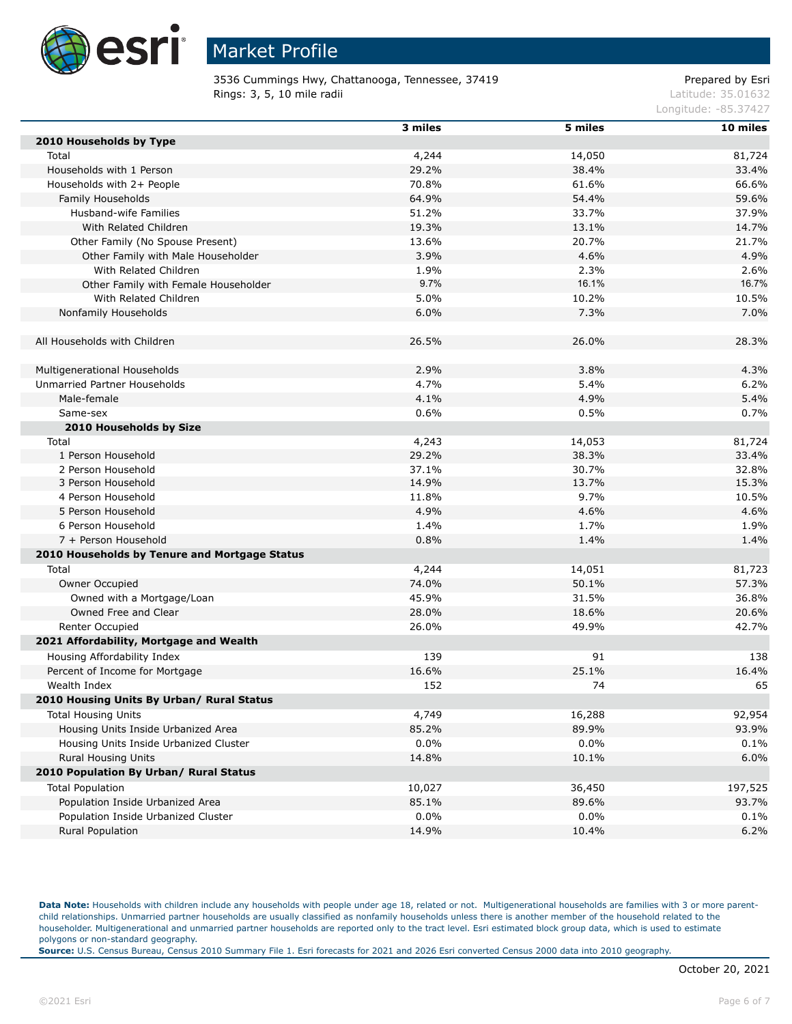

3536 Cummings Hwy, Chattanooga, Tennessee, 37419 Prepared by Esri **Rings: 3, 5, 10 mile radii** Latitude: 35.01632

Longitude: -85.37427

|                                               | 3 miles | 5 miles | 10 miles |
|-----------------------------------------------|---------|---------|----------|
| 2010 Households by Type                       |         |         |          |
| Total                                         | 4,244   | 14,050  | 81,724   |
| Households with 1 Person                      | 29.2%   | 38.4%   | 33.4%    |
| Households with 2+ People                     | 70.8%   | 61.6%   | 66.6%    |
| Family Households                             | 64.9%   | 54.4%   | 59.6%    |
| Husband-wife Families                         | 51.2%   | 33.7%   | 37.9%    |
| With Related Children                         | 19.3%   | 13.1%   | 14.7%    |
| Other Family (No Spouse Present)              | 13.6%   | 20.7%   | 21.7%    |
| Other Family with Male Householder            | 3.9%    | 4.6%    | 4.9%     |
| With Related Children                         | 1.9%    | 2.3%    | 2.6%     |
| Other Family with Female Householder          | 9.7%    | 16.1%   | 16.7%    |
| With Related Children                         | 5.0%    | 10.2%   | 10.5%    |
| Nonfamily Households                          | 6.0%    | 7.3%    | 7.0%     |
|                                               |         |         |          |
| All Households with Children                  | 26.5%   | 26.0%   | 28.3%    |
|                                               |         |         |          |
| Multigenerational Households                  | 2.9%    | 3.8%    | 4.3%     |
| Unmarried Partner Households                  | 4.7%    | 5.4%    | 6.2%     |
| Male-female                                   | 4.1%    | 4.9%    | 5.4%     |
| Same-sex                                      | 0.6%    | 0.5%    | 0.7%     |
| 2010 Households by Size                       |         |         |          |
| Total                                         | 4,243   | 14,053  | 81,724   |
| 1 Person Household                            | 29.2%   | 38.3%   | 33.4%    |
| 2 Person Household                            | 37.1%   | 30.7%   | 32.8%    |
| 3 Person Household                            | 14.9%   | 13.7%   | 15.3%    |
| 4 Person Household                            | 11.8%   | 9.7%    | 10.5%    |
| 5 Person Household                            | 4.9%    | 4.6%    | 4.6%     |
| 6 Person Household                            | 1.4%    | 1.7%    | 1.9%     |
| 7 + Person Household                          | 0.8%    | 1.4%    | 1.4%     |
| 2010 Households by Tenure and Mortgage Status |         |         |          |
| Total                                         | 4,244   | 14,051  | 81,723   |
| Owner Occupied                                | 74.0%   | 50.1%   | 57.3%    |
| Owned with a Mortgage/Loan                    | 45.9%   | 31.5%   | 36.8%    |
| Owned Free and Clear                          |         |         |          |
|                                               | 28.0%   | 18.6%   | 20.6%    |
| Renter Occupied                               | 26.0%   | 49.9%   | 42.7%    |
| 2021 Affordability, Mortgage and Wealth       |         |         |          |
| Housing Affordability Index                   | 139     | 91      | 138      |
| Percent of Income for Mortgage                | 16.6%   | 25.1%   | 16.4%    |
| Wealth Index                                  | 152     | 74      | 65       |
| 2010 Housing Units By Urban/ Rural Status     |         |         |          |
| <b>Total Housing Units</b>                    | 4,749   | 16,288  | 92,954   |
| Housing Units Inside Urbanized Area           | 85.2%   | 89.9%   | 93.9%    |
| Housing Units Inside Urbanized Cluster        | $0.0\%$ | $0.0\%$ | 0.1%     |
| Rural Housing Units                           | 14.8%   | 10.1%   | 6.0%     |
| 2010 Population By Urban/ Rural Status        |         |         |          |
| <b>Total Population</b>                       | 10,027  | 36,450  | 197,525  |
| Population Inside Urbanized Area              | 85.1%   | 89.6%   | 93.7%    |
| Population Inside Urbanized Cluster           | $0.0\%$ | $0.0\%$ | 0.1%     |
| Rural Population                              | 14.9%   | 10.4%   | 6.2%     |

Data Note: Households with children include any households with people under age 18, related or not. Multigenerational households are families with 3 or more parentchild relationships. Unmarried partner households are usually classified as nonfamily households unless there is another member of the household related to the householder. Multigenerational and unmarried partner households are reported only to the tract level. Esri estimated block group data, which is used to estimate polygons or non-standard geography.